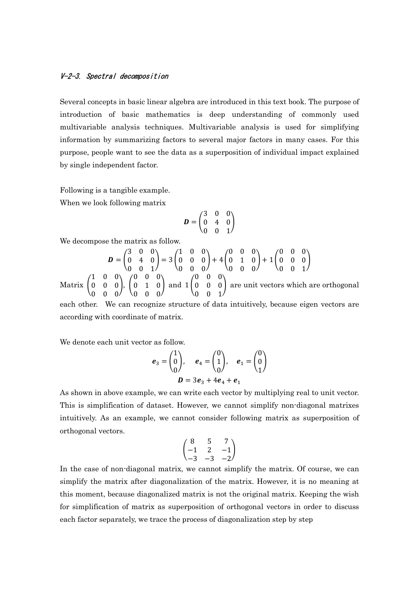#### V-2-3. Spectral decomposition

Several concepts in basic linear algebra are introduced in this text book. The purpose of introduction of basic mathematics is deep understanding of commonly used multivariable analysis techniques. Multivariable analysis is used for simplifying information by summarizing factors to several major factors in many cases. For this purpose, people want to see the data as a superposition of individual impact explained by single independent factor.

Following is a tangible example.

When we look following matrix

$$
\boldsymbol{D} = \begin{pmatrix} 3 & 0 & 0 \\ 0 & 4 & 0 \\ 0 & 0 & 1 \end{pmatrix}
$$

We decompose the matrix as follow.

 = ൭ 3 0 0 0 4 0 0 0 1 ൱ = 3 ൭ 1 0 0 0 0 0 0 0 0 ൱ + 4 ൭ 0 0 0 0 1 0 0 0 0 ൱ + 1 ൭ 0 0 0 0 0 0 0 0 1 ൱ 1 0 0 0 0 0 ൱, ൭ 0 0 0 0 1 0 ൱ and 1 ൭ 0 0 0 0 0 0

Matrix | (  $0 \t 0 \t 0 \t 0 \t 0 \t 0$  $\begin{pmatrix} 0 & 0 & 1 \end{pmatrix}$ re orthogonal each other. We can recognize structure of data intuitively, because eigen vectors are

according with coordinate of matrix.

We denote each unit vector as follow.

$$
e_3 = \begin{pmatrix} 1 \\ 0 \\ 0 \end{pmatrix}, \quad e_4 = \begin{pmatrix} 0 \\ 1 \\ 0 \end{pmatrix}, \quad e_1 = \begin{pmatrix} 0 \\ 0 \\ 1 \end{pmatrix}
$$
  
 $D = 3e_3 + 4e_4 + e_1$ 

As shown in above example, we can write each vector by multiplying real to unit vector. This is simplification of dataset. However, we cannot simplify non-diagonal matrixes intuitively. As an example, we cannot consider following matrix as superposition of orthogonal vectors.

$$
\begin{pmatrix} 8 & 5 & 7 \\ -1 & 2 & -1 \\ -3 & -3 & -2 \end{pmatrix}
$$

In the case of non-diagonal matrix, we cannot simplify the matrix. Of course, we can simplify the matrix after diagonalization of the matrix. However, it is no meaning at this moment, because diagonalized matrix is not the original matrix. Keeping the wish for simplification of matrix as superposition of orthogonal vectors in order to discuss each factor separately, we trace the process of diagonalization step by step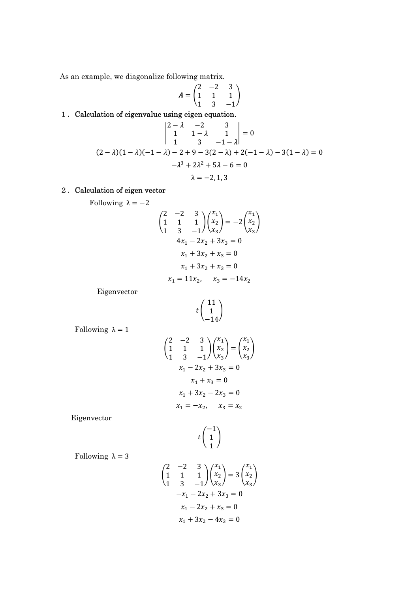As an example, we diagonalize following matrix.

$$
A = \begin{pmatrix} 2 & -2 & 3 \\ 1 & 1 & 1 \\ 1 & 3 & -1 \end{pmatrix}
$$

# 1.Calculation of eigenvalue using eigen equation.

$$
\begin{vmatrix} 2-\lambda & -2 & 3 \\ 1 & 1-\lambda & 1 \\ 1 & 3 & -1-\lambda \end{vmatrix} = 0
$$
  
(2 - \lambda)(1 - \lambda)(-1 - \lambda) - 2 + 9 - 3(2 - \lambda) + 2(-1 - \lambda) - 3(1 - \lambda) = 0  
- \lambda<sup>3</sup> + 2\lambda<sup>2</sup> + 5\lambda - 6 = 0  
\lambda = -2, 1, 3

## 2. Calculation of eigen vector

Following  $\lambda = -2$ 

$$
\begin{pmatrix} 2 & -2 & 3 \ 1 & 1 & 1 \ 1 & 3 & -1 \ \end{pmatrix} \begin{pmatrix} x_1 \ x_2 \ x_3 \end{pmatrix} = -2 \begin{pmatrix} x_1 \ x_2 \ x_3 \end{pmatrix}
$$
  
\n
$$
4x_1 - 2x_2 + 3x_3 = 0
$$
  
\n
$$
x_1 + 3x_2 + x_3 = 0
$$
  
\n
$$
x_1 + 3x_2 + x_3 = 0
$$
  
\n
$$
x_1 = 11x_2, \quad x_3 = -14x_2
$$

Eigenvector

$$
t\begin{pmatrix}11\\1\\-14\end{pmatrix}
$$

Following  $\lambda = 1$ 

$$
\begin{pmatrix} 2 & -2 & 3 \ 1 & 1 & 1 \ 1 & 3 & -1 \ \end{pmatrix} \begin{pmatrix} x_1 \ x_2 \ x_3 \end{pmatrix} = \begin{pmatrix} x_1 \ x_2 \ x_3 \end{pmatrix}
$$
  
\n
$$
x_1 - 2x_2 + 3x_3 = 0
$$
  
\n
$$
x_1 + x_3 = 0
$$
  
\n
$$
x_1 + 3x_2 - 2x_3 = 0
$$
  
\n
$$
x_1 = -x_2, \quad x_3 = x_2
$$

Eigenvector

$$
t\binom{-1}{1}
$$

Following  $\lambda = 3$ 

$$
\begin{pmatrix} 2 & -2 & 3 \ 1 & 1 & 1 \ 1 & 3 & -1 \ \end{pmatrix} \begin{pmatrix} x_1 \ x_2 \ x_3 \end{pmatrix} = 3 \begin{pmatrix} x_1 \ x_2 \ x_3 \end{pmatrix}
$$
  
\n
$$
-x_1 - 2x_2 + 3x_3 = 0
$$
  
\n
$$
x_1 - 2x_2 + x_3 = 0
$$
  
\n
$$
x_1 + 3x_2 - 4x_3 = 0
$$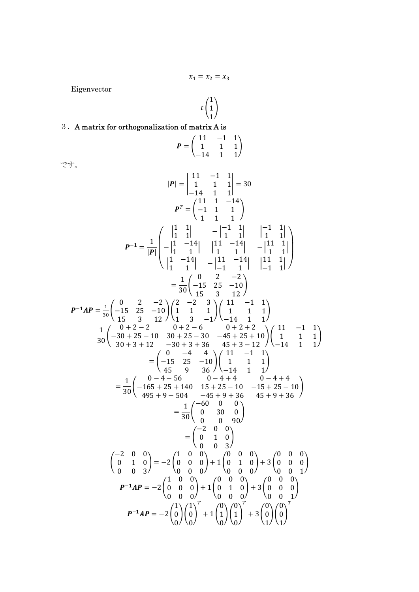$$
x_1=x_2=x_3
$$

Eigenvector

$$
t\begin{pmatrix}1\\1\\1\end{pmatrix}
$$

## 3.A matrix for orthogonalization of matrix A is

$$
P = \begin{pmatrix} 11 & -1 & 1 \\ 1 & 1 & 1 \\ -14 & 1 & 1 \end{pmatrix}
$$

です。

$$
|\mathbf{P}| = \begin{vmatrix} 11 & -1 & 1 \\ 1 & 1 & 1 \\ -14 & 1 & 1 \end{vmatrix} = 30
$$
  
\n
$$
\mathbf{P}^T = \begin{pmatrix} 11 & 1 & -14 \\ -1 & 1 & 1 \\ 1 & 1 & 1 \end{pmatrix}
$$
  
\n
$$
\mathbf{P}^{-1} = \frac{1}{|\mathbf{P}|} \begin{pmatrix} \begin{vmatrix} 1 & 1 \\ 1 & 1 \\ 1 & 1 \end{vmatrix} & -\begin{vmatrix} -1 & 1 \\ 1 & 1 \\ 1 & 1 \end{vmatrix} & -\begin{vmatrix} 1 & 1 \\ 1 & 1 \\ 1 & 1 \end{vmatrix} \end{pmatrix}
$$
  
\n
$$
P^{-1} = \frac{1}{|\mathbf{P}|} \begin{pmatrix} \begin{vmatrix} 1 & 1 \\ 1 & 1 \\ 1 & 1 \end{vmatrix} & -\begin{vmatrix} 1 & 1 \\ 1 & 1 \\ 1 & 1 \end{vmatrix} & -\begin{vmatrix} 11 & 1 \\ 1 & 1 \\ 1 & 1 \end{vmatrix} \end{pmatrix}
$$
  
\n
$$
= \frac{1}{30} \begin{pmatrix} 0 & 2 & -2 \\ -15 & 25 & -10 \\ 15 & 35 & 12 \end{pmatrix}
$$
  
\n
$$
\mathbf{P}^{-1}AP = \frac{1}{30} \begin{pmatrix} 0 & 2 & -2 \\ -15 & 25 & -10 \\ 15 & 31 & 2 \end{pmatrix} \begin{pmatrix} 2 & -2 & 3 \\ 11 & 1 & 1 \\ 1 & 1 & 1 \end{pmatrix}
$$
  
\n
$$
= \frac{1}{30} \begin{pmatrix} 0 & 2 & -2 \\ -15 & 25 & -10 \\ 30 & +3 & 12 \end{pmatrix} \begin{pmatrix} 1 & 1 & 1 \\ 1 & 1 & 1 \\ 1 & 1 & 1 \end{pmatrix}
$$
  
\n
$$
= \begin{pmatrix} 0 & -4 & -4 \\ -15 & 25 & -10 \\ 45 & 9 & 36 \end{pmatrix} \begin{pmatrix} 1 & 1 & 1 \\ -1 & 1 & 1 \\ -1 & 1 & 1 \end{pmatrix}
$$
  
\n
$$
=
$$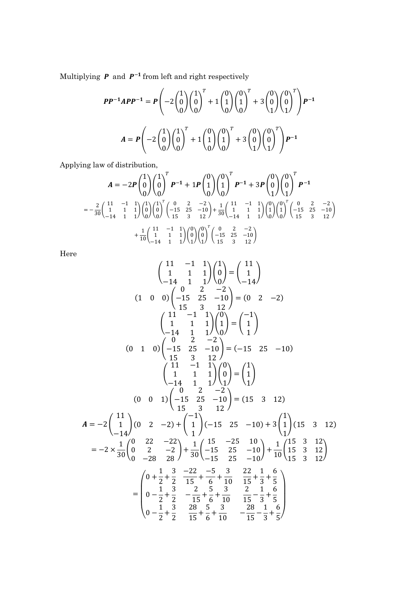Multiplying  $\boldsymbol{P}$  and  $\boldsymbol{P}^{-1}$  from left and right respectively

$$
PP^{-1}APP^{-1} = P\left(-2\begin{pmatrix} 1\\0\\0 \end{pmatrix} \begin{pmatrix} 1\\0\\0 \end{pmatrix}^T + 1\begin{pmatrix} 0\\1\\0 \end{pmatrix} \begin{pmatrix} 0\\1\\0 \end{pmatrix}^T + 3\begin{pmatrix} 0\\0\\1 \end{pmatrix} \begin{pmatrix} 0\\0\\1 \end{pmatrix}^T\right) P^{-1}
$$

$$
A = P\left(-2\begin{pmatrix} 1\\0\\0 \end{pmatrix} \begin{pmatrix} 1\\0\\0 \end{pmatrix}^T + 1\begin{pmatrix} 0\\1\\0 \end{pmatrix} \begin{pmatrix} 0\\1\\0 \end{pmatrix}^T + 3\begin{pmatrix} 0\\0\\1 \end{pmatrix} \begin{pmatrix} 0\\0\\1 \end{pmatrix}^T\right) P^{-1}
$$

Applying law of distribution,

$$
A = -2P \begin{pmatrix} 1 \\ 0 \\ 0 \end{pmatrix} \begin{pmatrix} 1 \\ 0 \\ 0 \end{pmatrix}^T P^{-1} + 1P \begin{pmatrix} 0 \\ 1 \\ 0 \end{pmatrix} \begin{pmatrix} 0 \\ 1 \\ 0 \end{pmatrix}^T P^{-1} + 3P \begin{pmatrix} 0 \\ 0 \\ 1 \end{pmatrix} \begin{pmatrix} 0 \\ 0 \\ 1 \end{pmatrix}^T P^{-1}
$$
  
=  $-\frac{2}{30} \begin{pmatrix} 11 & -1 & 1 \\ 1 & 1 & 1 \\ -14 & 1 & 1 \end{pmatrix} \begin{pmatrix} 1 \\ 0 \\ 0 \end{pmatrix} \begin{pmatrix} 1 \\ 0 \\ 0 \end{pmatrix}^T \begin{pmatrix} 0 & 2 & -2 \\ -15 & 25 & -10 \\ 15 & 3 & 12 \end{pmatrix} + \frac{1}{30} \begin{pmatrix} 11 & -1 & 1 \\ 1 & 1 & 1 \\ -14 & 1 & 1 \end{pmatrix} \begin{pmatrix} 0 \\ 1 \\ 0 \end{pmatrix} \begin{pmatrix} 0 \\ 1 \\ 0 \end{pmatrix}^T \begin{pmatrix} 0 & 2 & -2 \\ -15 & 25 & -10 \\ 15 & 3 & 12 \end{pmatrix}$   
+  $\frac{1}{10} \begin{pmatrix} 11 & -1 & 1 \\ 1 & 1 & 1 \\ -14 & 1 & 1 \end{pmatrix} \begin{pmatrix} 0 \\ 0 \\ 1 \end{pmatrix} \begin{pmatrix} 0 \\ 0 \\ 1 \end{pmatrix}^T \begin{pmatrix} 0 & 2 & -2 \\ -15 & 25 & -10 \\ 15 & 3 & 12 \end{pmatrix}$ 

Here

$$
\begin{pmatrix}\n11 & -1 & 1 \\
1 & 1 & 1 \\
-14 & 1 & 1\n\end{pmatrix}\n\begin{pmatrix}\n1 \\
0 \\
0 \\
-14\n\end{pmatrix} = \begin{pmatrix}\n11 \\
1 \\
-14\n\end{pmatrix}
$$
\n(1 0 0) 
$$
\begin{pmatrix}\n-15 & 25 & -10 \\
-15 & 25 & -10 \\
15 & 3 & 12\n\end{pmatrix} = (0 \quad 2 \quad -2)
$$
\n(1 1 1 1) 
$$
\begin{pmatrix}\n11 & -1 & 1 \\
1 & 1 & 1 \\
0 & 2 & -2\n\end{pmatrix} = \begin{pmatrix}\n-1 \\
1 \\
1\n\end{pmatrix}
$$
\n(0 1 0) 
$$
\begin{pmatrix}\n-15 & 25 & -10 \\
-15 & 25 & -10 \\
15 & 3 & 12\n\end{pmatrix} = (-15 \quad 25 \quad -10)
$$
\n(1 1 1 1) 
$$
\begin{pmatrix}\n1 \\
0 \\
-14 & 1\n\end{pmatrix}\n\begin{pmatrix}\n0 \\
1 \\
1\n\end{pmatrix} = \begin{pmatrix}\n1 \\
1 \\
1\n\end{pmatrix}
$$
\n(0 0 1) 
$$
\begin{pmatrix}\n-15 & 25 & -10 \\
-15 & 25 & -10\n\end{pmatrix} = (15 \quad 3 \quad 12)
$$
\n(1 1 1 1) 
$$
\begin{pmatrix}\n0 & 1 \\
0 & 2 \\
-14\n\end{pmatrix} = -2 \begin{pmatrix}\n1 \\
1 \\
-14\n\end{pmatrix} (0 \quad 2 \quad -2) + \begin{pmatrix}\n-1 \\
1 \\
1\n\end{pmatrix} (-15 \quad 25 \quad -10) + 3 \begin{pmatrix}\n1 \\
1 \\
1\n\end{pmatrix} (15 \quad 3 \quad 12)
$$
\n(1 1 1 1 1) 
$$
= -2 \times \frac{1}{30} \begin{pmatrix}\n0 & 22 & -22 \\
0 & 22 & -22 \\
0 & -28 & 28\n\end{pmatrix} + \frac{1}{30} \begin{pmatrix}\n15 & -25 & 10 \\
-15 & 25 & -10 \\
-15 & 25 & -10\n\end{pmatrix} + \frac{1}{10} \begin{pmatrix}\n1
$$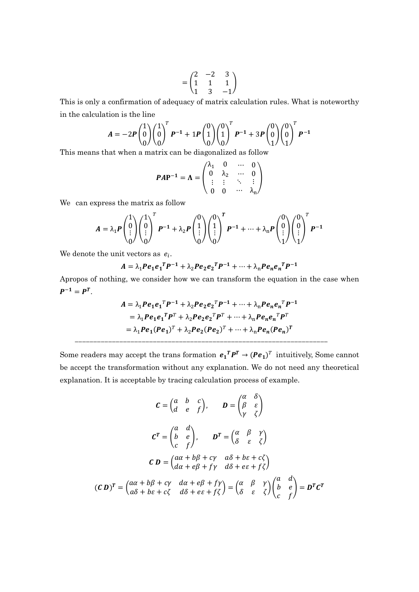$$
= \begin{pmatrix} 2 & -2 & 3 \\ 1 & 1 & 1 \\ 1 & 3 & -1 \end{pmatrix}
$$

This is only a confirmation of adequacy of matrix calculation rules. What is noteworthy in the calculation is the line

$$
A = -2P \begin{pmatrix} 1 \\ 0 \\ 0 \end{pmatrix} \begin{pmatrix} 1 \\ 0 \\ 0 \end{pmatrix}^T P^{-1} + 1P \begin{pmatrix} 0 \\ 1 \\ 0 \end{pmatrix} \begin{pmatrix} 0 \\ 1 \\ 0 \end{pmatrix}^T P^{-1} + 3P \begin{pmatrix} 0 \\ 0 \\ 1 \end{pmatrix} \begin{pmatrix} 0 \\ 0 \\ 1 \end{pmatrix}^T P^{-1}
$$

This means that when a matrix can be diagonalized as follow

$$
PAP^{-1} = \Lambda = \begin{pmatrix} \lambda_1 & 0 & \cdots & 0 \\ 0 & \lambda_2 & \cdots & 0 \\ \vdots & \vdots & \ddots & \vdots \\ 0 & 0 & \cdots & \lambda_n \end{pmatrix}
$$

We can express the matrix as follow

$$
A = \lambda_1 P \begin{pmatrix} 1 \\ 0 \\ \vdots \\ 0 \end{pmatrix} \begin{pmatrix} 1 \\ 0 \\ \vdots \\ 0 \end{pmatrix}^T P^{-1} + \lambda_2 P \begin{pmatrix} 0 \\ 1 \\ \vdots \\ 0 \end{pmatrix} \begin{pmatrix} 0 \\ 1 \\ \vdots \\ 0 \end{pmatrix}^T P^{-1} + \dots + \lambda_n P \begin{pmatrix} 0 \\ 0 \\ \vdots \\ 1 \end{pmatrix} \begin{pmatrix} 0 \\ 0 \\ \vdots \\ 1 \end{pmatrix}^T P^{-1}
$$

We denote the unit vectors as  $e_i$ .

$$
A = \lambda_1 P e_1 e_1^T P^{-1} + \lambda_2 P e_2 e_2^T P^{-1} + \dots + \lambda_n P e_n e_n^T P^{-1}
$$

Apropos of nothing, we consider how we can transform the equation in the case when  $P^{-1} = P^{T}$ .

$$
A = \lambda_1 P e_1 e_1^T P^{-1} + \lambda_2 P e_2 e_2^T P^{-1} + \dots + \lambda_n P e_n e_n^T P^{-1}
$$
  
=  $\lambda_1 P e_1 e_1^T P^T + \lambda_2 P e_2 e_2^T P^T + \dots + \lambda_n P e_n e_n^T P^T$   
=  $\lambda_1 P e_1 (P e_1)^T + \lambda_2 P e_2 (P e_2)^T + \dots + \lambda_n P e_n (P e_n)^T$ 

Some readers may accept the trans formation  $e_1^T P^T \rightarrow (Pe_1)^T$  intuitively, Some cannot be accept the transformation without any explanation. We do not need any theoretical explanation. It is acceptable by tracing calculation process of example.

--------------------------------------------------------------------

$$
C = \begin{pmatrix} a & b & c \\ d & e & f \end{pmatrix}, \qquad D = \begin{pmatrix} \alpha & \delta \\ \beta & \varepsilon \\ \gamma & \zeta \end{pmatrix}
$$

$$
C^{T} = \begin{pmatrix} a & d \\ b & e \\ c & f \end{pmatrix}, \qquad D^{T} = \begin{pmatrix} \alpha & \beta & \gamma \\ \delta & \varepsilon & \zeta \end{pmatrix}
$$

$$
C D = \begin{pmatrix} a\alpha + b\beta + c\gamma & a\delta + b\epsilon + c\zeta \\ d\alpha + e\beta + f\gamma & d\delta + e\epsilon + f\zeta \end{pmatrix}
$$

$$
(C D)^{T} = \begin{pmatrix} a\alpha + b\beta + c\gamma & d\alpha + e\beta + f\gamma \\ a\delta + b\epsilon + c\zeta & d\delta + e\epsilon + f\zeta \end{pmatrix} = \begin{pmatrix} \alpha & \beta & \gamma \\ \delta & \varepsilon & \zeta \end{pmatrix} \begin{pmatrix} a & d \\ b & e \\ c & f \end{pmatrix} = D^{T} C^{T}
$$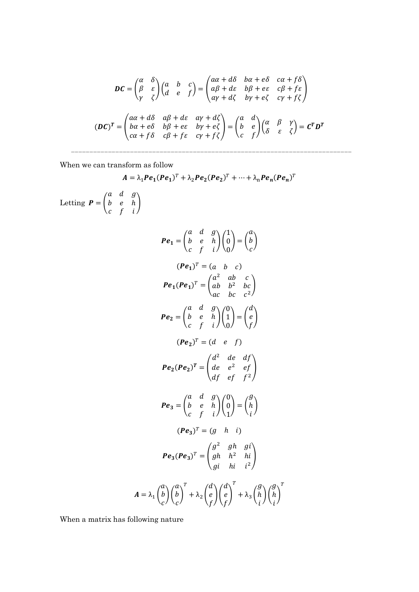$$
\mathbf{DC} = \begin{pmatrix} \alpha & \delta \\ \beta & \varepsilon \\ \gamma & \zeta \end{pmatrix} \begin{pmatrix} a & b & c \\ d & e & f \end{pmatrix} = \begin{pmatrix} a\alpha + d\delta & b\alpha + e\delta & c\alpha + f\delta \\ a\beta + d\varepsilon & b\beta + e\varepsilon & c\beta + f\varepsilon \\ a\gamma + d\zeta & b\gamma + e\zeta & c\gamma + f\zeta \end{pmatrix}
$$

$$
(\mathbf{DC})^T = \begin{pmatrix} a\alpha + d\delta & a\beta + d\varepsilon & a\gamma + d\zeta \\ b\alpha + e\delta & b\beta + e\varepsilon & b\gamma + e\zeta \\ c\alpha + f\delta & c\beta + f\varepsilon & c\gamma + f\zeta \end{pmatrix} = \begin{pmatrix} a & d \\ b & e \\ c & f \end{pmatrix} \begin{pmatrix} \alpha & \beta & \gamma \\ \delta & \varepsilon & \zeta \end{pmatrix} = \mathbf{C}^T \mathbf{D}^T
$$

----------------------------------------------------------------------------

When we can transform as follow

 $A = \lambda_1 Pe_1 (Pe_1)^T + \lambda_2 Pe_2 (Pe_2)^T + \dots + \lambda_n Pe_n (Pe_n)^T$ Letting  $P = |$  $a \quad d \quad g \setminus$  $\begin{pmatrix} b & e & h \\ c & f & i \end{pmatrix}$  $Pe_1 = |$  $a \quad d \quad g \setminus$  $b$  e  $h$  $\left(\begin{matrix} a & d & g \ b & e & h \ c & f & i \end{matrix}\right) \left(\begin{matrix} 1 \ 0 \ 0 \end{matrix}\right)$ 0  $\boldsymbol{0}$  $) = |$  $\boldsymbol{a}$  $\boldsymbol{b}$  $\mathcal{C}_{\mathcal{C}}$  $\overline{a}$  $(Pe_1)^T = (a \quad b \quad c)$  $Pe_1 (Pe_1)^T = |$  $a^2$  ab c)  $ab$   $b^2$   $bc$ ac bc  $c^2$ ൱  $Pe_2 = |$ a d  $g_{\setminus}$  $b$  e  $h$  $\left(\begin{matrix} a & d & g \ b & e & h \ c & f & i \end{matrix}\right) \left(\begin{matrix} 0 \ 1 \ 0 \end{matrix}\right)$ 1  $\mathbf{0}$  $\vert$  =  $\vert$   $\vert$  $\boldsymbol{d}$  $\boldsymbol{e}$  $f_{\cdot}$  $\overline{1}$  $(Pe_2)^T = (d \quad e \quad f)$  $Pe_2 (Pe_2)^T = |$  $d^2$  de df  $de e^2 e^f$ df ef  $f^2$ ,  $\overline{a}$  $Pe_3 = |$  $a \quad d \quad g \setminus$  $b$  e  $h$  $\left(\begin{matrix} a & d & g \ b & e & h \ c & f & i \end{matrix}\right) \left(\begin{matrix} 0 \ 0 \ 1 \end{matrix}\right)$ 0 1  $\vert$  =  $\vert$  $g<sub>1</sub>$ ℎ i  $\overline{a}$  $(Pe_3)^T = (g \quad h \quad i)$  $Pe_3 (Pe_3)^T = |$  $g^2$  gh gi  $gh$   $h^2$   $hi$ gi hi  $i^2$  $\overline{a}$  $A = \lambda_1 \mid \lambda$  $\alpha$  $\boldsymbol{b}$  $\mathcal{C}_{\mathcal{C}}$  $\bigg)\bigg(\begin{matrix}a\\b\end{matrix}\bigg)$  $\mathcal{C}_{\mathcal{C}}$  $\overline{a}$  $\pmb{T}$  $+\lambda_2$  |  $d^{\cdot}$  $\boldsymbol{e}$  $f_{\cdot}$  $\bigg)\bigg( \begin{matrix} d \\ e \end{matrix} \bigg)$  $f_{\cdot}$  $\overline{1}$  $\pmb{T}$  $+\lambda_3$  | i  $g<sub>1</sub>$ ℎ i  $\bigg) \bigg( \begin{matrix} g \\ h \end{matrix} \bigg)$ i  $\overline{a}$  $\pmb{T}$ 

When a matrix has following nature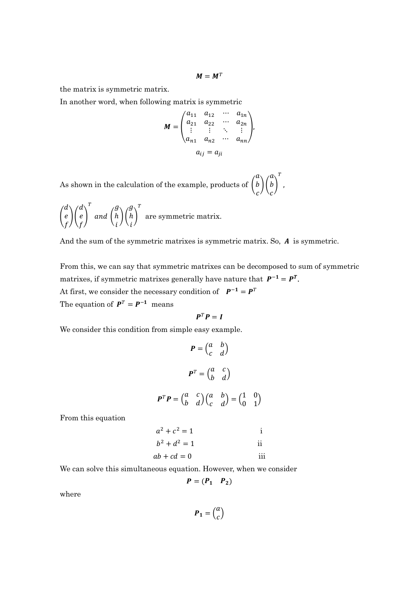$$
M = M^T
$$

the matrix is symmetric matrix.

In another word, when following matrix is symmetric

$$
M = \begin{pmatrix} a_{11} & a_{12} & \cdots & a_{1n} \\ a_{21} & a_{22} & \cdots & a_{2n} \\ \vdots & \vdots & \ddots & \vdots \\ a_{n1} & a_{n2} & \cdots & a_{nn} \end{pmatrix}
$$

$$
a_{ij} = a_{ji}
$$

As shown in the calculation of the example, products of  $\binom{a}{b}\binom{a}{c}^T$ ,

$$
\binom{d}{f}\binom{d}{f}^T
$$
 and 
$$
\binom{g}{i}\binom{g}{i}^T
$$
 are symmetric matrix.

And the sum of the symmetric matrixes is symmetric matrix. So,  $A$  is symmetric.

From this, we can say that symmetric matrixes can be decomposed to sum of symmetric matrixes, if symmetric matrixes generally have nature that  $P^{-1} = P^{T}$ . At first, we consider the necessary condition of  $P^{-1} = P^{T}$ The equation of  $P^T = P^{-1}$  means

$$
P^T P = I
$$

We consider this condition from simple easy example.

$$
P = \begin{pmatrix} a & b \\ c & d \end{pmatrix}
$$

$$
P^{T} = \begin{pmatrix} a & c \\ b & d \end{pmatrix}
$$

$$
P^{T}P = \begin{pmatrix} a & c \\ b & d \end{pmatrix} \begin{pmatrix} a & b \\ c & d \end{pmatrix} = \begin{pmatrix} 1 & 0 \\ 0 & 1 \end{pmatrix}
$$

From this equation

$$
a2 + c2 = 1
$$
 i  
\n
$$
b2 + d2 = 1
$$
 ii  
\n
$$
ab + cd = 0
$$
 iii

We can solve this simultaneous equation. However, when we consider

$$
P=(P_1 \quad P_2)
$$

where

 $P_1 = \binom{a}{c}$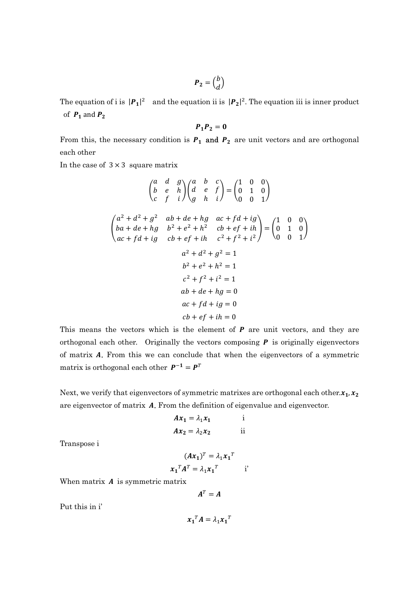$$
\boldsymbol{P}_2 = \begin{pmatrix} b \\ d \end{pmatrix}
$$

The equation of i is  $|P_1|^2$  and the equation ii is  $|P_2|^2$ . The equation iii is inner product of  $P_1$  and  $P_2$ 

$$
\boldsymbol{P}_1 \boldsymbol{P}_2 = \boldsymbol{0}
$$

From this, the necessary condition is  $P_1$  and  $P_2$  are unit vectors and are orthogonal each other

In the case of  $3 \times 3$  square matrix

$$
\begin{pmatrix}\na & d & g \\
b & e & h \\
c & f & i\n\end{pmatrix}\n\begin{pmatrix}\na & b & c \\
d & e & f \\
g & h & i\n\end{pmatrix} = \begin{pmatrix}\n1 & 0 & 0 \\
0 & 1 & 0 \\
0 & 0 & 1\n\end{pmatrix}
$$
\n
$$
\begin{pmatrix}\na^2 + d^2 + g^2 & ab + de + hg & ac + fd + ig \\
ba + de + hg & b^2 + e^2 + h^2 & cb + ef + ih \\
ac + fd + ig & cb + ef + ih & c^2 + f^2 + i^2\n\end{pmatrix} = \begin{pmatrix}\n1 & 0 & 0 \\
0 & 1 & 0 \\
0 & 0 & 1\n\end{pmatrix}
$$
\n
$$
a^2 + d^2 + g^2 = 1
$$
\n
$$
b^2 + e^2 + h^2 = 1
$$
\n
$$
c^2 + f^2 + i^2 = 1
$$
\n
$$
ab + de + hg = 0
$$
\n
$$
ac + fd + ig = 0
$$
\n
$$
cb + ef + ih = 0
$$

This means the vectors which is the element of  $P$  are unit vectors, and they are orthogonal each other. Originally the vectors composing  $P$  is originally eigenvectors of matrix A. From this we can conclude that when the eigenvectors of a symmetric matrix is orthogonal each other  $P^{-1} = P^{T}$ 

Next, we verify that eigenvectors of symmetric matrixes are orthogonal each other. $x_1, x_2$ are eigenvector of matrix A. From the definition of eigenvalue and eigenvector.

$$
Ax_1 = \lambda_1 x_1 \qquad \text{if}
$$
  

$$
Ax_2 = \lambda_2 x_2 \qquad \text{if}
$$

Transpose i

$$
(\boldsymbol{A}\boldsymbol{x}_1)^T = \lambda_1 \boldsymbol{x}_1^T
$$

$$
\boldsymbol{x}_1^T \boldsymbol{A}^T = \lambda_1 \boldsymbol{x}_1^T \qquad \text{if}
$$

When matrix  $A$  is symmetric matrix

$$
A^T = A
$$

Put this in i'

$$
x_1^T A = \lambda_1 x_1^T
$$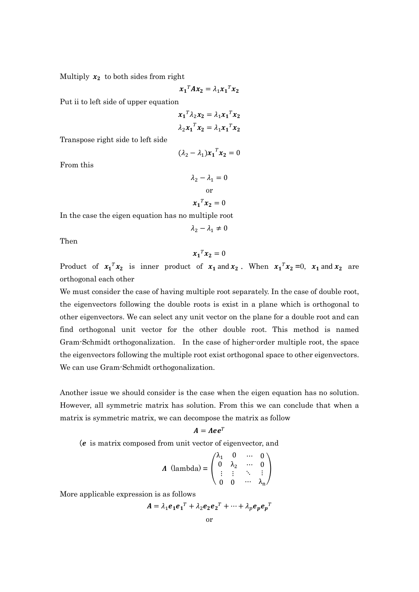Multiply  $x_2$  to both sides from right

$$
x_1^T A x_2 = \lambda_1 x_1^T x_2
$$

Put ii to left side of upper equation

$$
x_1^T \lambda_2 x_2 = \lambda_1 x_1^T x_2
$$

$$
\lambda_2 x_1^T x_2 = \lambda_1 x_1^T x_2
$$

Transpose right side to left side

$$
(\lambda_2 - \lambda_1) x_1^T x_2 = 0
$$

From this

$$
\lambda_2 - \lambda_1 = 0
$$
  
or  

$$
x_1^T x_2 = 0
$$

In the case the eigen equation has no multiple root

$$
\lambda_2 - \lambda_1 \neq 0
$$

Then

$$
x_1^T x_2 = 0
$$

Product of  $x_1^T x_2$  is inner product of  $x_1$  and  $x_2$ . When  $x_1^T x_2 = 0$ ,  $x_1$  and  $x_2$  are orthogonal each other

We must consider the case of having multiple root separately. In the case of double root, the eigenvectors following the double roots is exist in a plane which is orthogonal to other eigenvectors. We can select any unit vector on the plane for a double root and can find orthogonal unit vector for the other double root. This method is named Gram-Schmidt orthogonalization. In the case of higher-order multiple root, the space the eigenvectors following the multiple root exist orthogonal space to other eigenvectors. We can use Gram-Schmidt orthogonalization.

Another issue we should consider is the case when the eigen equation has no solution. However, all symmetric matrix has solution. From this we can conclude that when a matrix is symmetric matrix, we can decompose the matrix as follow

$$
A = Aee^T
$$

 $(e$  is matrix composed from unit vector of eigenvector, and

$$
\boldsymbol{\Lambda} \text{ (lambda)} = \begin{pmatrix} \lambda_1 & 0 & \cdots & 0 \\ 0 & \lambda_2 & \cdots & 0 \\ \vdots & \vdots & \ddots & \vdots \\ 0 & 0 & \cdots & \lambda_n \end{pmatrix}
$$

More applicable expression is as follows

$$
\mathbf{A} = \lambda_1 \mathbf{e_1} \mathbf{e_1}^T + \lambda_2 \mathbf{e_2} \mathbf{e_2}^T + \dots + \lambda_p \mathbf{e_p} \mathbf{e_p}^T
$$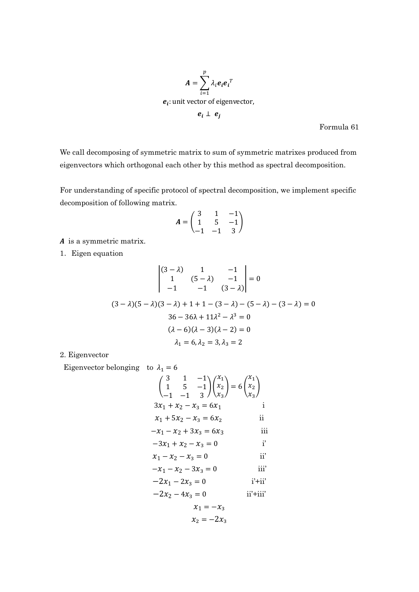

Formula 61

We call decomposing of symmetric matrix to sum of symmetric matrixes produced from eigenvectors which orthogonal each other by this method as spectral decomposition.

For understanding of specific protocol of spectral decomposition, we implement specific decomposition of following matrix.

$$
A = \begin{pmatrix} 3 & 1 & -1 \\ 1 & 5 & -1 \\ -1 & -1 & 3 \end{pmatrix}
$$

 $A$  is a symmetric matrix.

1. Eigen equation

$$
\begin{vmatrix} (3-\lambda) & 1 & -1 \ 1 & (5-\lambda) & -1 \ -1 & -1 & (3-\lambda) \end{vmatrix} = 0
$$
  

$$
(3-\lambda)(5-\lambda)(3-\lambda) + 1 + 1 - (3-\lambda) - (5-\lambda) - (3-\lambda) = 0
$$
  

$$
36 - 36\lambda + 11\lambda^2 - \lambda^3 = 0
$$
  

$$
(\lambda - 6)(\lambda - 3)(\lambda - 2) = 0
$$
  

$$
\lambda_1 = 6, \lambda_2 = 3, \lambda_3 = 2
$$

2. Eigenvector

Eigenvector belonging to  $\lambda_1 = 6$ 

$$
\begin{pmatrix}\n3 & 1 & -1 \\
1 & 5 & -1 \\
-1 & -1 & 3\n\end{pmatrix}\n\begin{pmatrix}\nx_1 \\
x_2 \\
x_3\n\end{pmatrix} = 6\n\begin{pmatrix}\nx_1 \\
x_2 \\
x_3\n\end{pmatrix}
$$
\n  
\n
$$
3x_1 + x_2 - x_3 = 6x_1
$$
\n  
\n
$$
x_1 + 5x_2 - x_3 = 6x_2
$$
\n  
\n
$$
-x_1 - x_2 + 3x_3 = 6x_3
$$
\n  
\n
$$
-3x_1 + x_2 - x_3 = 0
$$
\n  
\n
$$
x_1 - x_2 - x_3 = 0
$$
\n  
\n
$$
-x_1 - x_2 - 3x_3 = 0
$$
\n  
\n
$$
-2x_1 - 2x_3 = 0
$$
\n  
\n
$$
x_1 = -x_3
$$
\n  
\n
$$
x_2 = -2x_3
$$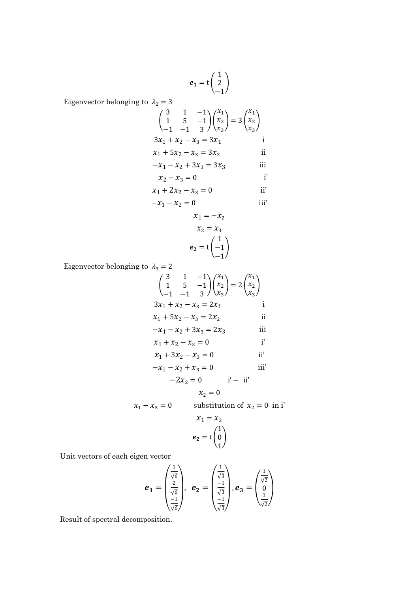$$
e_1 = \mathsf{t} \begin{pmatrix} 1 \\ 2 \\ -1 \end{pmatrix}
$$

Eigenvector belonging to  $\lambda_2 = 3$ 

$$
\begin{pmatrix}\n3 & 1 & -1 \\
1 & 5 & -1 \\
-1 & -1 & 3\n\end{pmatrix}\n\begin{pmatrix}\nx_1 \\
x_2 \\
x_3\n\end{pmatrix} = 3\n\begin{pmatrix}\nx_1 \\
x_2 \\
x_3\n\end{pmatrix}
$$
\n
$$
3x_1 + x_2 - x_3 = 3x_1
$$
\ni\n
$$
x_1 + 5x_2 - x_3 = 3x_2
$$
\nii\n
$$
-x_1 - x_2 + 3x_3 = 3x_3
$$
\niii\n
$$
x_2 - x_3 = 0
$$
\ni\n
$$
x_1 + 2x_2 - x_3 = 0
$$
\nii'\n
$$
x_1 = -x_2
$$
\n
$$
x_2 = x_3
$$
\n
$$
e_2 = t\n\begin{pmatrix}\n1 \\
-1\n\end{pmatrix}
$$

Eigenvector belonging to  $\,\lambda_3=2$ 

$$
\begin{pmatrix} 3 & 1 & -1 \ 1 & 5 & -1 \ -1 & -1 & 3 \ \end{pmatrix} \begin{pmatrix} x_1 \ x_2 \ x_3 \end{pmatrix} = 2 \begin{pmatrix} x_1 \ x_2 \ x_3 \end{pmatrix}
$$
  
\n
$$
3x_1 + x_2 - x_3 = 2x_1
$$
  
\n
$$
x_1 + 5x_2 - x_3 = 2x_2
$$
  
\n
$$
-x_1 - x_2 + 3x_3 = 2x_3
$$
  
\n
$$
x_1 + x_2 - x_3 = 0
$$
  
\n
$$
x_1 + 3x_2 - x_3 = 0
$$
  
\n
$$
x_1 + 3x_2 - x_3 = 0
$$
  
\n
$$
-x_1 - x_2 + x_3 = 0
$$
  
\n
$$
-2x_2 = 0
$$
  
\n
$$
i
$$
  
\n
$$
i
$$
  
\n
$$
x_2 = 0
$$

$$
x_1 - x_3 = 0
$$
 substitution of  $x_2 = 0$  in i'

$$
x_1 = x_3
$$

$$
e_2 = t \begin{pmatrix} 1 \\ 0 \\ 1 \end{pmatrix}
$$

Unit vectors of each eigen vector

$$
e_1 = \begin{pmatrix} \frac{1}{\sqrt{6}} \\ \frac{2}{\sqrt{6}} \\ \frac{-1}{\sqrt{6}} \end{pmatrix}, e_2 = \begin{pmatrix} \frac{1}{\sqrt{3}} \\ \frac{-1}{\sqrt{3}} \\ \frac{-1}{\sqrt{3}} \end{pmatrix}, e_3 = \begin{pmatrix} \frac{1}{\sqrt{2}} \\ 0 \\ \frac{1}{\sqrt{2}} \end{pmatrix}
$$

Result of spectral decomposition.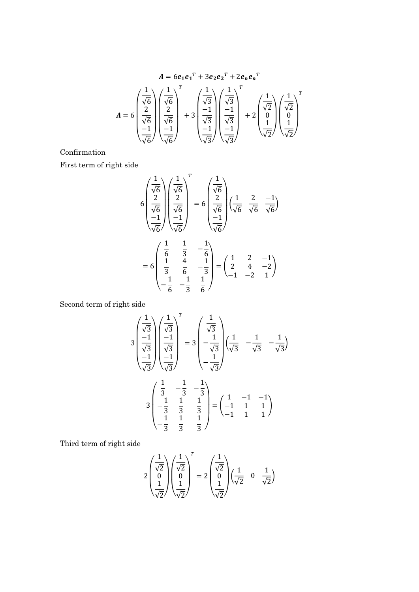$$
A = 6e_1e_1^T + 3e_2e_2^T + 2e_ne_n^T
$$
  

$$
A = 6\begin{pmatrix} \frac{1}{\sqrt{6}} \\ \frac{2}{\sqrt{6}} \\ \frac{-1}{\sqrt{6}} \end{pmatrix} \begin{pmatrix} \frac{1}{\sqrt{6}} \\ \frac{2}{\sqrt{6}} \\ \frac{-1}{\sqrt{6}} \end{pmatrix} + 3\begin{pmatrix} \frac{1}{\sqrt{3}} \\ \frac{-1}{\sqrt{3}} \\ \frac{-1}{\sqrt{3}} \end{pmatrix} \begin{pmatrix} \frac{1}{\sqrt{3}} \\ \frac{-1}{\sqrt{3}} \\ \frac{-1}{\sqrt{3}} \end{pmatrix} + 2\begin{pmatrix} \frac{1}{\sqrt{2}} \\ \frac{1}{\sqrt{2}} \\ \frac{1}{\sqrt{2}} \end{pmatrix} \begin{pmatrix} \frac{1}{\sqrt{2}} \\ \frac{0}{\sqrt{2}} \\ \frac{1}{\sqrt{2}} \end{pmatrix}
$$

Confirmation

First term of right side

$$
6\begin{pmatrix} \frac{1}{\sqrt{6}} \\ \frac{2}{\sqrt{6}} \\ -1 \\ \frac{-1}{\sqrt{6}} \end{pmatrix} \begin{pmatrix} \frac{1}{\sqrt{6}} \\ \frac{2}{\sqrt{6}} \\ -1 \\ \frac{-1}{\sqrt{6}} \end{pmatrix}^{T} = 6\begin{pmatrix} \frac{1}{\sqrt{6}} \\ \frac{2}{\sqrt{6}} \\ -1 \\ \frac{-1}{\sqrt{6}} \end{pmatrix} \begin{pmatrix} \frac{1}{\sqrt{6}} & \frac{2}{\sqrt{6}} & -1 \\ \frac{-1}{\sqrt{6}} & \frac{-1}{\sqrt{6}} \end{pmatrix}
$$

$$
= 6\begin{pmatrix} \frac{1}{6} & \frac{1}{3} & -\frac{1}{6} \\ \frac{1}{3} & \frac{4}{6} & -\frac{1}{3} \\ -\frac{1}{6} & -\frac{1}{3} & \frac{1}{6} \end{pmatrix} = \begin{pmatrix} 1 & 2 & -1 \\ 2 & 4 & -2 \\ -1 & -2 & 1 \end{pmatrix}
$$

Second term of right side

$$
3\begin{pmatrix} \frac{1}{\sqrt{3}} \\ -1 \\ \frac{-1}{\sqrt{3}} \\ -1 \end{pmatrix} \begin{pmatrix} \frac{1}{\sqrt{3}} \\ -1 \\ \frac{-1}{\sqrt{3}} \\ -1 \end{pmatrix}^{T} = 3\begin{pmatrix} \frac{1}{\sqrt{3}} \\ -\frac{1}{\sqrt{3}} \\ -\frac{1}{\sqrt{3}} \\ -\frac{1}{\sqrt{3}} \end{pmatrix} \begin{pmatrix} \frac{1}{\sqrt{3}} & -\frac{1}{\sqrt{3}} & -\frac{1}{\sqrt{3}} \\ -\frac{1}{\sqrt{3}} & -\frac{1}{\sqrt{3}} & -\frac{1}{\sqrt{3}} \end{pmatrix}
$$

$$
3\begin{pmatrix} \frac{1}{3} & -\frac{1}{3} & -\frac{1}{3} \\ -\frac{1}{3} & \frac{1}{3} & \frac{1}{3} \\ -\frac{1}{3} & \frac{1}{3} & \frac{1}{3} \end{pmatrix} = \begin{pmatrix} 1 & -1 & -1 \\ -1 & 1 & 1 \\ -1 & 1 & 1 \end{pmatrix}
$$

Third term of right side

$$
2\begin{pmatrix} \frac{1}{\sqrt{2}} \\ 0 \\ \frac{1}{\sqrt{2}} \end{pmatrix} \begin{pmatrix} \frac{1}{\sqrt{2}} \\ 0 \\ \frac{1}{\sqrt{2}} \end{pmatrix}^{T} = 2\begin{pmatrix} \frac{1}{\sqrt{2}} \\ 0 \\ \frac{1}{\sqrt{2}} \end{pmatrix} \begin{pmatrix} \frac{1}{\sqrt{2}} & 0 & \frac{1}{\sqrt{2}} \end{pmatrix}
$$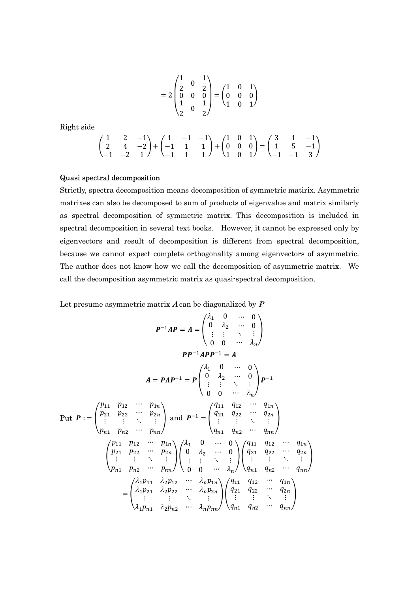$$
=2\begin{pmatrix}\n\frac{1}{2} & 0 & \frac{1}{2} \\
0 & 0 & 0 \\
\frac{1}{2} & 0 & \frac{1}{2}\n\end{pmatrix} = \begin{pmatrix}\n1 & 0 & 1 \\
0 & 0 & 0 \\
1 & 0 & 1\n\end{pmatrix}
$$

Right side

$$
\begin{pmatrix} 1 & 2 & -1 \\ 2 & 4 & -2 \\ -1 & -2 & 1 \end{pmatrix} + \begin{pmatrix} 1 & -1 & -1 \\ -1 & 1 & 1 \\ -1 & 1 & 1 \end{pmatrix} + \begin{pmatrix} 1 & 0 & 1 \\ 0 & 0 & 0 \\ 1 & 0 & 1 \end{pmatrix} = \begin{pmatrix} 3 & 1 & -1 \\ 1 & 5 & -1 \\ -1 & -1 & 3 \end{pmatrix}
$$

#### Quasi spectral decomposition

Strictly, spectra decomposition means decomposition of symmetric matirix. Asymmetric matrixes can also be decomposed to sum of products of eigenvalue and matrix similarly as spectral decomposition of symmetric matrix. This decomposition is included in spectral decomposition in several text books. However, it cannot be expressed only by eigenvectors and result of decomposition is different from spectral decomposition, because we cannot expect complete orthogonality among eigenvectors of asymmetric. The author does not know how we call the decomposition of asymmetric matrix. We call the decomposition asymmetric matrix as quasi-spectral decomposition.

Let presume asymmetric matrix  $\boldsymbol{A}$  can be diagonalized by  $\boldsymbol{P}$ 

$$
P^{-1}AP = \Lambda = \begin{pmatrix} \lambda_1 & 0 & \cdots & 0 \\ 0 & \lambda_2 & \cdots & 0 \\ \vdots & \vdots & \ddots & \vdots \\ 0 & 0 & \cdots & \lambda_n \end{pmatrix}
$$

$$
PP^{-1}APP^{-1} = A
$$

$$
A = PAP^{-1} = P \begin{pmatrix} \lambda_1 & 0 & \cdots & 0 \\ 0 & \lambda_2 & \cdots & 0 \\ \vdots & \vdots & \ddots & \vdots \\ 0 & 0 & \cdots & \lambda_n \end{pmatrix} P^{-1}
$$

$$
Put P := \begin{pmatrix} p_{11} & p_{12} & \cdots & p_{1n} \\ p_{21} & p_{22} & \cdots & p_{2n} \\ \vdots & \vdots & \ddots & \vdots \\ p_{n1} & p_{n2} & \cdots & p_{nn} \end{pmatrix} and P^{-1} = \begin{pmatrix} q_{11} & q_{12} & \cdots & q_{1n} \\ q_{21} & q_{22} & \cdots & q_{2n} \\ \vdots & \vdots & \ddots & \vdots \\ q_{n1} & q_{n2} & \cdots & q_{nn} \end{pmatrix}
$$

$$
\begin{pmatrix} p_{11} & p_{12} & \cdots & p_{1n} \\ p_{21} & p_{22} & \cdots & p_{2n} \\ \vdots & \vdots & \ddots & \vdots \\ p_{n1} & p_{n2} & \cdots & p_{nn} \end{pmatrix} \begin{pmatrix} \lambda_1 & 0 & \cdots & 0 \\ 0 & \lambda_2 & \cdots & 0 \\ \vdots & \vdots & \ddots & \vdots \\ 0 & 0 & \cdots & \lambda_n \end{pmatrix} \begin{pmatrix} q_{11} & q_{12} & \cdots & q_{1n} \\ q_{21} & q_{22} & \cdots & q_{2n} \\ \vdots & \vdots & \ddots & \vdots \\ q_{n1} & q_{n2} & \cdots & q_{nn} \end{pmatrix}
$$

$$
= \begin{pmatrix} \lambda_1 p_{11} & \lambda_2 p_{12} & \cdots & \lambda_n p_{1n} \\ \lambda_1 p_{21} & \lambda_2 p_{22} & \cdots & \lambda_n p_{2n} \\ \vdots & \vdots & \ddots & \vdots \\ \lambda_1 p_{n1} & \lambda_
$$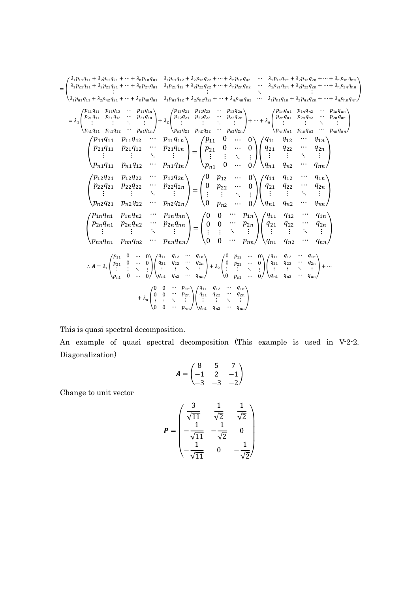$$
= \begin{pmatrix} \lambda_{i}p_{11}q_{11} + \lambda_{2}p_{12}q_{21} + \cdots + \lambda_{n}p_{1n}q_{11} & \lambda_{1}p_{11}q_{12} + \lambda_{2}p_{12}q_{22} + \cdots + \lambda_{n}p_{1n}q_{n2} & \cdots & \lambda_{1}p_{11}q_{1n} + \lambda_{2}p_{12}q_{2n} + \cdots + \lambda_{n}p_{n}q_{n1} \\ \lambda_{1}p_{n1}q_{11} + \lambda_{2}p_{n2}q_{21} + \cdots + \lambda_{n}p_{nn}q_{n1} & \lambda_{1}p_{11}q_{12} + \lambda_{2}p_{12}q_{22} + \cdots + \lambda_{n}p_{n2}q_{n2} & \cdots & \lambda_{1}p_{21}q_{1n} + \lambda_{2}p_{22}q_{2n} + \cdots + \lambda_{n}p_{2n}q_{n1} \\ \lambda_{1}p_{n1}q_{11} + \lambda_{2}p_{n2}q_{21} + \cdots + \lambda_{n}p_{nn}q_{n1} & \lambda_{1}p_{n1}q_{12} + \lambda_{2}p_{n2}q_{22} & \cdots & \mu_{2}q_{2n} \\ \vdots & \vdots & \vdots & \vdots & \vdots & \vdots & \vdots & \vdots \\ \rho_{n1}q_{11} & p_{11}q_{12} & \cdots & p_{11}q_{1n} \\ \rho_{21}q_{11} & p_{11}q_{12} & \cdots & p_{11}q_{1n} \\ \rho_{21}q_{11} & p_{11}q_{12} & \cdots & p_{11}q_{1n} \\ \vdots & \vdots & \vdots & \vdots & \vdots & \vdots \\ \rho_{n1}q_{11} & p_{11}q_{12} & \cdots & p_{11}q_{1n} \\ \rho_{22}q_{21} & p_{12}q_{22} & \cdots & p_{21}q_{2n} \\ \vdots & \vdots & \vdots & \vdots & \vdots \\ \rho_{n1}q_{11} & p_{11}q_{12} & \cdots & p_{11}q_{1n} \\ \rho_{22}q_{21} & p_{22}q_{22} & \cdots & p_{21}
$$

This is quasi spectral decomposition.

An example of quasi spectral decomposition (This example is used in V-2-2. Diagonalization)

$$
A = \begin{pmatrix} 8 & 5 & 7 \\ -1 & 2 & -1 \\ -3 & -3 & -2 \end{pmatrix}
$$

Change to unit vector

$$
P = \begin{pmatrix} \frac{3}{\sqrt{11}} & \frac{1}{\sqrt{2}} & \frac{1}{\sqrt{2}} \\ -\frac{1}{\sqrt{11}} & -\frac{1}{\sqrt{2}} & 0 \\ -\frac{1}{\sqrt{11}} & 0 & -\frac{1}{\sqrt{2}} \end{pmatrix}
$$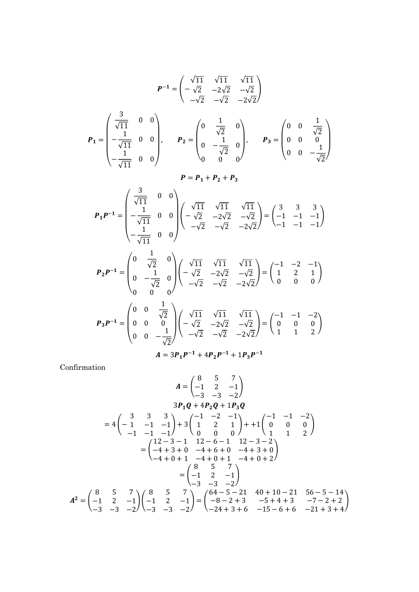$$
P^{-1} = \begin{pmatrix} \sqrt{11} & \sqrt{11} & \sqrt{11} \\ -\sqrt{2} & -2\sqrt{2} & -\sqrt{2} \\ -\sqrt{2} & -\sqrt{2} & -2\sqrt{2} \end{pmatrix}
$$
  
\n
$$
P_{1} = \begin{pmatrix} \frac{3}{\sqrt{11}} & 0 & 0 \\ -\frac{1}{\sqrt{11}} & 0 & 0 \\ -\frac{1}{\sqrt{11}} & 0 & 0 \end{pmatrix}, \qquad P_{2} = \begin{pmatrix} 0 & \frac{1}{\sqrt{2}} & 0 \\ 0 & -\frac{1}{\sqrt{2}} & 0 \\ 0 & 0 & 0 \end{pmatrix}, \qquad P_{3} = \begin{pmatrix} 0 & 0 & \frac{1}{\sqrt{2}} \\ 0 & 0 & 0 \\ 0 & 0 & -\frac{1}{\sqrt{2}} \end{pmatrix}
$$
  
\n
$$
P = P_{1} + P_{2} + P_{3}
$$
  
\n
$$
P_{1}P^{-1} = \begin{pmatrix} \frac{3}{\sqrt{11}} & 0 & 0 \\ -\frac{1}{\sqrt{11}} & 0 & 0 \\ -\frac{1}{\sqrt{11}} & 0 & 0 \end{pmatrix} \begin{pmatrix} \sqrt{11} & \sqrt{11} & \sqrt{11} \\ -\sqrt{2} & -2\sqrt{2} & -\sqrt{2} \\ -\sqrt{2} & -\sqrt{2} & -2\sqrt{2} \end{pmatrix} = \begin{pmatrix} 3 & 3 & 3 \\ -1 & -1 & -1 \\ -1 & -1 & -1 \end{pmatrix}
$$
  
\n
$$
P_{2}P^{-1} = \begin{pmatrix} 0 & \frac{1}{\sqrt{2}} & 0 \\ 0 & -\frac{1}{\sqrt{2}} & 0 \\ 0 & 0 & 0 \end{pmatrix} \begin{pmatrix} \sqrt{11} & \sqrt{11} & \sqrt{11} \\ -\sqrt{2} & -2\sqrt{2} & -\sqrt{2} \\ -\sqrt{2} & -\sqrt{2} & -2\sqrt{2} \end{pmatrix} = \begin{pmatrix} -1 & -2 & -1 \\ 1 & 2 & 1 \\ 0 & 0 & 0 \end{pmatrix}
$$
  
\n
$$
P_{3}P^{-1} = \begin{pmatrix} 0 & 0 & \frac{1}{\sqrt{2}} \\ 0 & 0 & \
$$

Confirmation

$$
A = \begin{pmatrix} 8 & 5 & 7 \\ -1 & 2 & -1 \\ -3 & -3 & -2 \end{pmatrix}
$$
  
\n
$$
3P_1Q + 4P_2Q + 1P_3Q
$$
  
\n
$$
= 4 \begin{pmatrix} 3 & 3 & 3 \\ -1 & -1 & -1 \\ -1 & -1 & -1 \end{pmatrix} + 3 \begin{pmatrix} -1 & -2 & -1 \\ 1 & 2 & 1 \\ 0 & 0 & 0 \end{pmatrix} + 4 \begin{pmatrix} -1 & -1 & -2 \\ 0 & 0 & 0 \\ 1 & 1 & 2 \end{pmatrix}
$$
  
\n
$$
= \begin{pmatrix} 12 - 3 - 1 & 12 - 6 - 1 & 12 - 3 - 2 \\ -4 + 3 + 0 & -4 + 6 + 0 & -4 + 3 + 0 \\ -4 + 0 + 1 & -4 + 0 + 1 & -4 + 0 + 2 \end{pmatrix}
$$
  
\n
$$
= \begin{pmatrix} 8 & 5 & 7 \\ -1 & 2 & -1 \\ -3 & -3 & -2 \end{pmatrix}
$$
  
\n
$$
A^2 = \begin{pmatrix} 8 & 5 & 7 \\ -1 & 2 & -1 \\ -3 & -3 & -2 \end{pmatrix} \begin{pmatrix} 8 & 5 & 7 \\ -1 & 2 & -1 \\ -3 & -3 & -2 \end{pmatrix} = \begin{pmatrix} 64 - 5 - 21 & 40 + 10 - 21 & 56 - 5 - 14 \\ -8 - 2 + 3 & -5 + 4 + 3 & -7 - 2 + 2 \\ -24 + 3 + 6 & -15 - 6 + 6 & -21 + 3 + 4 \end{pmatrix}
$$